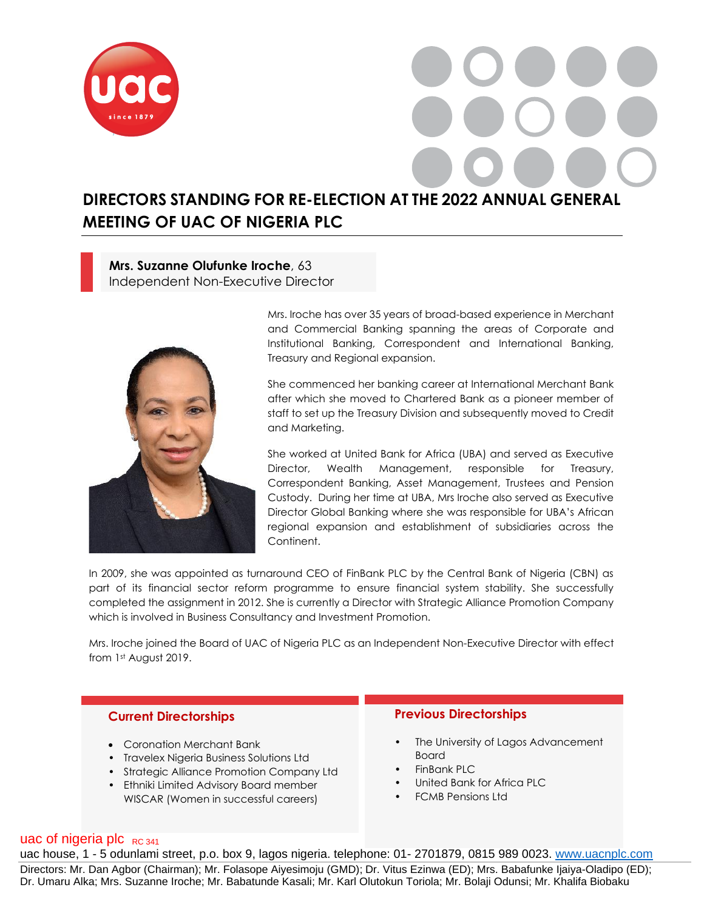

# **DIRECTORS STANDING FOR RE-ELECTION AT THE 2022 ANNUAL GENERAL MEETING OF UAC OF NIGERIA PLC**

**Mrs. Suzanne Olufunke Iroche**, 63 Independent Non-Executive Director



Mrs. Iroche has over 35 years of broad-based experience in Merchant and Commercial Banking spanning the areas of Corporate and Institutional Banking, Correspondent and International Banking, Treasury and Regional expansion.

She commenced her banking career at International Merchant Bank after which she moved to Chartered Bank as a pioneer member of staff to set up the Treasury Division and subsequently moved to Credit and Marketing.

She worked at United Bank for Africa (UBA) and served as Executive Director, Wealth Management, responsible for Treasury, Correspondent Banking, Asset Management, Trustees and Pension Custody. During her time at UBA, Mrs Iroche also served as Executive Director Global Banking where she was responsible for UBA's African regional expansion and establishment of subsidiaries across the Continent.

In 2009, she was appointed as turnaround CEO of FinBank PLC by the Central Bank of Nigeria (CBN) as part of its financial sector reform programme to ensure financial system stability. She successfully completed the assignment in 2012. She is currently a Director with Strategic Alliance Promotion Company which is involved in Business Consultancy and Investment Promotion.

Mrs. Iroche joined the Board of UAC of Nigeria PLC as an Independent Non-Executive Director with effect from 1st August 2019.

### **Current Directorships**

- Coronation Merchant Bank
- Travelex Nigeria Business Solutions Ltd
- Strategic Alliance Promotion Company Ltd
- Ethniki Limited Advisory Board member WISCAR (Women in successful careers)

## **Previous Directorships**

- The University of Lagos Advancement Board
- FinBank PLC
- United Bank for Africa PLC
- FCMB Pensions Ltd

## uac of nigeria plc  $_{RC,341}$

uac house, 1 - 5 odunlami street, p.o. box 9, lagos nigeria. telephone: 01- 2701879, 0815 989 0023. [www.uacnplc.com](http://www.uacnplc.com/) Directors: Mr. Dan Agbor (Chairman); Mr. Folasope Aiyesimoju (GMD); Dr. Vitus Ezinwa (ED); Mrs. Babafunke Ijaiya-Oladipo (ED); Dr. Umaru Alka; Mrs. Suzanne Iroche; Mr. Babatunde Kasali; Mr. Karl Olutokun Toriola; Mr. Bolaji Odunsi; Mr. Khalifa Biobaku